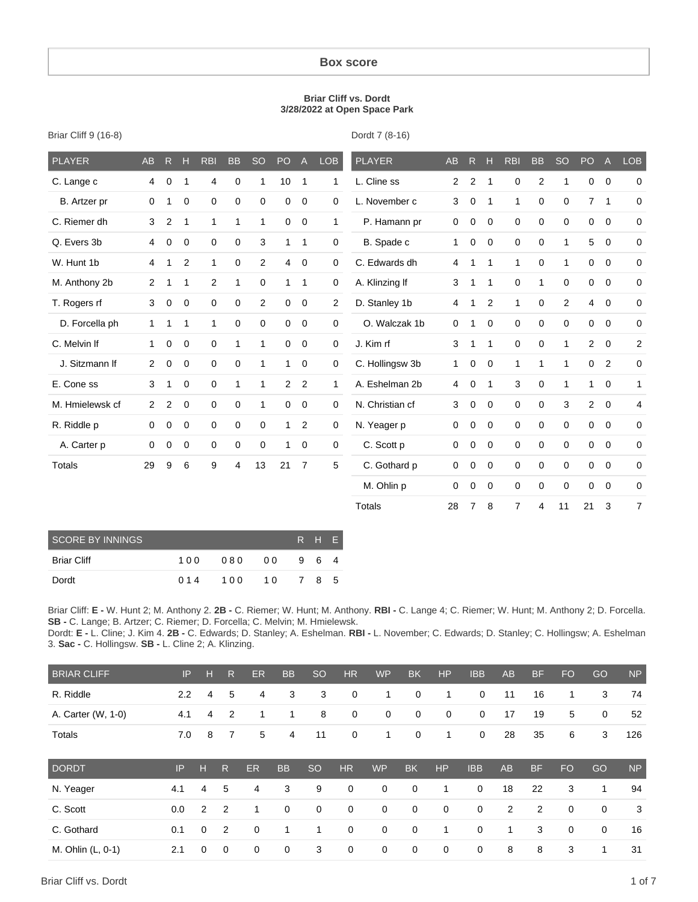#### **Box score**

#### **Briar Cliff vs. Dordt 3/28/2022 at Open Space Park**

| <b>PLAYER</b>   | <b>AB</b>      | R              | H            | <b>RBI</b>     | <b>BB</b>    | <b>SO</b>   | PO             | $\mathsf{A}$   | <b>LOB</b>     | <b>PLAYER</b>   | <b>AB</b>      | R              | н              | <b>RBI</b>     | <b>BB</b>    | <b>SO</b>      | PO             | $\overline{A}$ | LOB            |
|-----------------|----------------|----------------|--------------|----------------|--------------|-------------|----------------|----------------|----------------|-----------------|----------------|----------------|----------------|----------------|--------------|----------------|----------------|----------------|----------------|
| C. Lange c      | 4              | $\mathbf 0$    | 1            | 4              | $\mathbf 0$  | 1           | 10             | $\overline{1}$ | $\mathbf{1}$   | L. Cline ss     | $\overline{2}$ | $\overline{2}$ | $\overline{1}$ | 0              | 2            | 1              | 0              | $\overline{0}$ | $\mathbf 0$    |
| B. Artzer pr    | $\mathbf 0$    | 1              | $\mathbf 0$  | 0              | 0            | $\mathbf 0$ | 0              | $\mathbf 0$    | $\mathbf 0$    | L. November c   | 3              | $\mathbf 0$    | $\overline{1}$ | $\mathbf{1}$   | $\mathbf 0$  | $\mathbf 0$    | $\overline{7}$ | $\mathbf{1}$   | $\mathbf 0$    |
| C. Riemer dh    | 3              | $\overline{2}$ | $\mathbf{1}$ | $\mathbf{1}$   | $\mathbf{1}$ | 1           | $\mathbf 0$    | $\mathbf 0$    | $\mathbf{1}$   | P. Hamann pr    | $\mathbf 0$    | 0              | $\mathbf 0$    | $\mathbf 0$    | $\mathbf 0$  | $\mathbf 0$    | 0              | $\overline{0}$ | $\mathbf 0$    |
| Q. Evers 3b     | 4              | $\mathbf 0$    | $\mathbf 0$  | $\mathbf 0$    | $\mathbf 0$  | 3           | $\mathbf{1}$   | $\mathbf{1}$   | $\mathbf 0$    | B. Spade c      | $\mathbf{1}$   | 0              | $\mathbf 0$    | 0              | $\mathbf 0$  | $\mathbf{1}$   | 5              | $\mathbf 0$    | $\mathbf 0$    |
| W. Hunt 1b      | 4              | 1              | 2            | $\mathbf{1}$   | 0            | 2           | 4              | $\mathbf 0$    | $\mathbf 0$    | C. Edwards dh   | 4              | $\mathbf{1}$   | $\mathbf{1}$   | $\mathbf{1}$   | $\mathbf 0$  | $\mathbf{1}$   | 0              | $\mathbf 0$    | $\mathbf 0$    |
| M. Anthony 2b   | $\overline{2}$ | 1              | $\mathbf{1}$ | $\overline{2}$ | $\mathbf{1}$ | 0           | $\mathbf{1}$   | $\mathbf{1}$   | 0              | A. Klinzing If  | 3              | $\mathbf{1}$   | $\mathbf{1}$   | 0              | $\mathbf{1}$ | $\mathbf 0$    | 0              | $\mathbf 0$    | $\mathbf 0$    |
| T. Rogers rf    | 3              | $\mathbf 0$    | $\mathbf 0$  | $\mathbf 0$    | 0            | 2           | $\mathbf 0$    | $\mathbf 0$    | $\overline{2}$ | D. Stanley 1b   | 4              | $\mathbf{1}$   | 2              | $\mathbf{1}$   | $\mathbf 0$  | $\overline{2}$ | 4              | $\mathbf 0$    | 0              |
| D. Forcella ph  | $\mathbf{1}$   | $\mathbf{1}$   | $\mathbf{1}$ | 1              | 0            | 0           | 0              | 0              | 0              | O. Walczak 1b   | $\mathbf 0$    | $\mathbf{1}$   | $\mathbf 0$    | 0              | $\mathbf 0$  | $\mathbf 0$    | 0              | $\mathbf 0$    | $\mathbf 0$    |
| C. Melvin If    | $\mathbf{1}$   | $\mathbf 0$    | $\mathbf 0$  | $\mathbf 0$    | $\mathbf{1}$ | 1           | 0              | $\mathbf 0$    | $\mathbf 0$    | J. Kim rf       | 3              | $\mathbf{1}$   | $\mathbf{1}$   | $\mathbf 0$    | $\mathbf 0$  | $\mathbf{1}$   | $\overline{2}$ | $\mathbf 0$    | $\overline{2}$ |
| J. Sitzmann If  | $\overline{2}$ | $\mathbf 0$    | $\mathbf 0$  | $\mathbf 0$    | $\mathbf 0$  | 1           | $\mathbf{1}$   | $\mathbf 0$    | $\mathbf 0$    | C. Hollingsw 3b | $\mathbf{1}$   | $\mathbf 0$    | $\mathbf 0$    | $\mathbf{1}$   | $\mathbf{1}$ | $\mathbf{1}$   | 0              | 2              | $\mathbf 0$    |
| E. Cone ss      | 3              | 1              | $\mathbf 0$  | $\mathbf 0$    | $\mathbf{1}$ | 1           | $\overline{2}$ | $\overline{2}$ | $\mathbf{1}$   | A. Eshelman 2b  | $\overline{4}$ | 0              | $\overline{1}$ | 3              | $\mathbf 0$  | $\mathbf{1}$   | 1              | $\mathbf 0$    | 1              |
| M. Hmielewsk cf | $\overline{2}$ | 2              | $\mathbf 0$  | $\mathbf 0$    | $\mathbf 0$  | 1           | 0              | $\mathbf 0$    | 0              | N. Christian cf | 3              | $\mathbf 0$    | $\mathbf 0$    | $\mathbf 0$    | $\mathbf 0$  | 3              | $\overline{2}$ | $\overline{0}$ | $\overline{4}$ |
| R. Riddle p     | 0              | $\mathbf 0$    | 0            | $\mathbf 0$    | 0            | 0           | $\mathbf{1}$   | $\overline{2}$ | 0              | N. Yeager p     | 0              | $\mathbf 0$    | $\mathbf 0$    | 0              | $\mathbf 0$  | $\mathbf 0$    | 0              | $\mathbf 0$    | $\mathbf 0$    |
| A. Carter p     | 0              | $\mathbf 0$    | 0            | $\mathbf 0$    | 0            | 0           | 1              | $\mathbf 0$    | 0              | C. Scott p      | $\mathbf 0$    | $\mathbf 0$    | $\mathbf 0$    | 0              | $\mathbf 0$  | $\mathbf 0$    | $\mathbf 0$    | $\mathbf 0$    | 0              |
| <b>Totals</b>   | 29             | 9              | 6            | 9              | 4            | 13          | 21             | $\overline{7}$ | 5              | C. Gothard p    | $\mathbf 0$    | $\mathbf 0$    | $\mathbf 0$    | 0              | 0            | 0              | 0              | $\mathbf 0$    | 0              |
|                 |                |                |              |                |              |             |                |                |                | M. Ohlin p      | 0              | 0              | $\mathbf 0$    | 0              | 0            | 0              | 0              | $\mathbf 0$    | 0              |
|                 |                |                |              |                |              |             |                |                |                | <b>Totals</b>   | 28             | 7              | 8              | $\overline{7}$ | 4            | 11             | 21             | 3              | 7              |

| SCORE BY INNINGS   |     |     |        |     | R H E |  |
|--------------------|-----|-----|--------|-----|-------|--|
| <b>Briar Cliff</b> | 100 | 080 | 00     |     | 964   |  |
| Dordt              | 014 | 100 | $-1.0$ | 785 |       |  |

Briar Cliff: **E -** W. Hunt 2; M. Anthony 2. **2B -** C. Riemer; W. Hunt; M. Anthony. **RBI -** C. Lange 4; C. Riemer; W. Hunt; M. Anthony 2; D. Forcella. **SB -** C. Lange; B. Artzer; C. Riemer; D. Forcella; C. Melvin; M. Hmielewsk.

Dordt: **E -** L. Cline; J. Kim 4. **2B -** C. Edwards; D. Stanley; A. Eshelman. **RBI -** L. November; C. Edwards; D. Stanley; C. Hollingsw; A. Eshelman 3. **Sac -** C. Hollingsw. **SB -** L. Cline 2; A. Klinzing.

| <b>BRIAR CLIFF</b> | IP  | н | R            | <b>ER</b> | <b>BB</b>   | <b>SO</b>     | <b>HR</b>   | <b>WP</b>   | <b>BK</b>   | <b>HP</b>   | <b>IBB</b>  | <b>AB</b> | <b>BF</b>      | FO <sub>1</sub> | GO          | <b>NP</b> |
|--------------------|-----|---|--------------|-----------|-------------|---------------|-------------|-------------|-------------|-------------|-------------|-----------|----------------|-----------------|-------------|-----------|
| R. Riddle          | 2.2 | 4 | 5            | 4         | 3           | 3             | $\mathbf 0$ | 1           | $\mathbf 0$ | 1           | 0           | 11        | 16             | 1               | 3           | 74        |
| A. Carter (W, 1-0) | 4.1 | 4 | 2            | 1         | 1           | 8             | $\mathbf 0$ | $\mathbf 0$ | $\mathbf 0$ | $\mathbf 0$ | $\mathbf 0$ | 17        | 19             | 5               | 0           | 52        |
| Totals             | 7.0 | 8 | 7            | 5         | 4           | 11            | $\mathbf 0$ | 1           | $\mathbf 0$ | 1           | $\mathbf 0$ | 28        | 35             | 6               | 3           | 126       |
| <b>DORDT</b>       | IP  | H | $\mathsf{R}$ | ER        | <b>BB</b>   | <sub>SO</sub> | <b>HR</b>   | <b>WP</b>   | <b>BK</b>   | <b>HP</b>   | <b>IBB</b>  | <b>AB</b> | <b>BF</b>      | FO.             | GO          | <b>NP</b> |
| N. Yeager          | 4.1 | 4 | 5            | 4         | 3           | 9             | 0           | 0           | $\mathbf 0$ | 1           | 0           | 18        | 22             | 3               | 1           | 94        |
| C. Scott           | 0.0 | 2 | 2            | 1         | $\mathbf 0$ | $\mathbf 0$   | $\mathbf 0$ | 0           | $\mathbf 0$ | $\mathbf 0$ | 0           | 2         | $\overline{2}$ | 0               | 0           | 3         |
| C. Gothard         | 0.1 | 0 | 2            | 0         | 1           | 1             | $\mathbf 0$ | 0           | $\mathbf 0$ | 1           | 0           | 1         | 3              | 0               | $\mathbf 0$ | 16        |
| M. Ohlin (L, 0-1)  |     |   |              |           |             |               |             |             |             |             |             |           |                |                 |             |           |

Briar Cliff 9 (16-8)

Dordt 7 (8-16)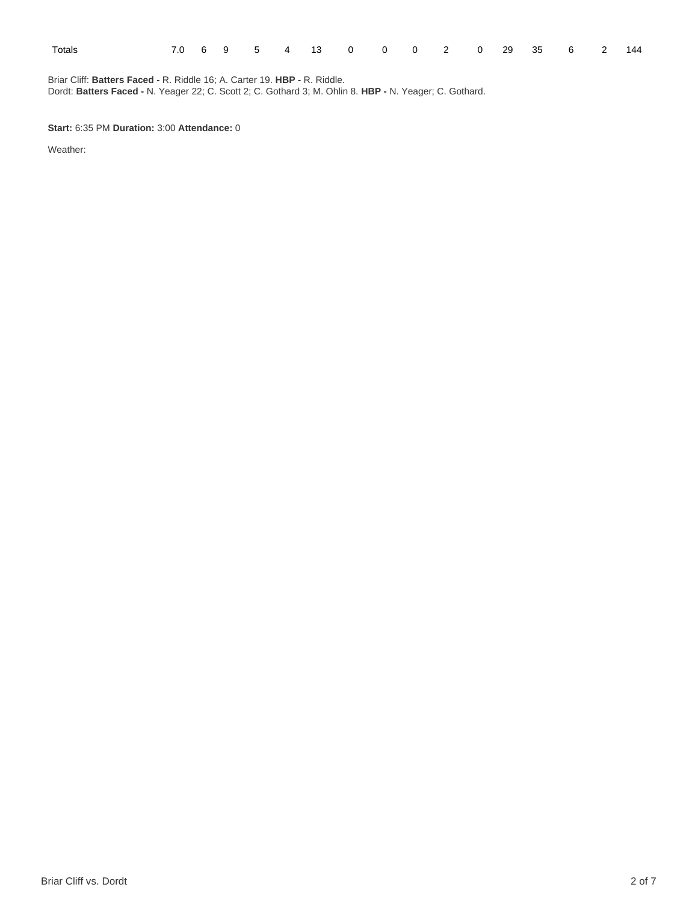| Totals |  |  | 7.0 6 9 5 4 13 0 0 0 2 0 29 35 6 2 144 |  |  |  |  |  |
|--------|--|--|----------------------------------------|--|--|--|--|--|
|        |  |  |                                        |  |  |  |  |  |

Briar Cliff: **Batters Faced -** R. Riddle 16; A. Carter 19. **HBP -** R. Riddle. Dordt: **Batters Faced -** N. Yeager 22; C. Scott 2; C. Gothard 3; M. Ohlin 8. **HBP -** N. Yeager; C. Gothard.

**Start:** 6:35 PM **Duration:** 3:00 **Attendance:** 0

Weather: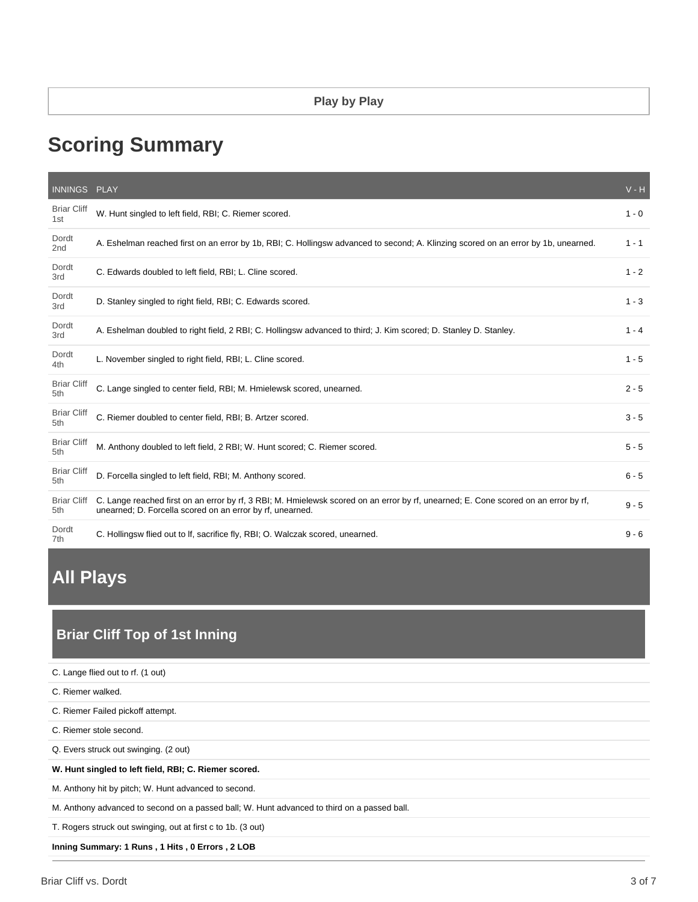### **Play by Play**

# **Scoring Summary**

| INNINGS PLAY              |                                                                                                                                                                                                  | $V - H$ |
|---------------------------|--------------------------------------------------------------------------------------------------------------------------------------------------------------------------------------------------|---------|
| <b>Briar Cliff</b><br>1st | W. Hunt singled to left field, RBI; C. Riemer scored.                                                                                                                                            | $1 - 0$ |
| Dordt<br>2nd              | A. Eshelman reached first on an error by 1b, RBI; C. Hollingsw advanced to second; A. Klinzing scored on an error by 1b, unearned.                                                               | $1 - 1$ |
| Dordt<br>3rd              | C. Edwards doubled to left field, RBI; L. Cline scored.                                                                                                                                          | $1 - 2$ |
| Dordt<br>3rd              | D. Stanley singled to right field, RBI; C. Edwards scored.                                                                                                                                       | $1 - 3$ |
| Dordt<br>3rd              | A. Eshelman doubled to right field, 2 RBI; C. Hollingsw advanced to third; J. Kim scored; D. Stanley D. Stanley.                                                                                 | $1 - 4$ |
| Dordt<br>4th              | L. November singled to right field, RBI; L. Cline scored.                                                                                                                                        | $1 - 5$ |
| <b>Briar Cliff</b><br>5th | C. Lange singled to center field, RBI; M. Hmielewsk scored, unearned.                                                                                                                            | $2 - 5$ |
| <b>Briar Cliff</b><br>5th | C. Riemer doubled to center field, RBI; B. Artzer scored.                                                                                                                                        | $3 - 5$ |
| <b>Briar Cliff</b><br>5th | M. Anthony doubled to left field, 2 RBI; W. Hunt scored; C. Riemer scored.                                                                                                                       | $5 - 5$ |
| <b>Briar Cliff</b><br>5th | D. Forcella singled to left field, RBI; M. Anthony scored.                                                                                                                                       | $6 - 5$ |
| <b>Briar Cliff</b><br>5th | C. Lange reached first on an error by rf, 3 RBI; M. Hmielewsk scored on an error by rf, unearned; E. Cone scored on an error by rf,<br>unearned; D. Forcella scored on an error by rf, unearned. | $9 - 5$ |
| Dordt<br>7th              | C. Hollingsw flied out to If, sacrifice fly, RBI; O. Walczak scored, unearned.                                                                                                                   | $9 - 6$ |

# **All Plays**

# **Briar Cliff Top of 1st Inning**

| C. Lange flied out to rf. (1 out)                                                           |
|---------------------------------------------------------------------------------------------|
| C. Riemer walked.                                                                           |
| C. Riemer Failed pickoff attempt.                                                           |
| C. Riemer stole second.                                                                     |
| Q. Evers struck out swinging. (2 out)                                                       |
| W. Hunt singled to left field, RBI; C. Riemer scored.                                       |
| M. Anthony hit by pitch; W. Hunt advanced to second.                                        |
| M. Anthony advanced to second on a passed ball; W. Hunt advanced to third on a passed ball. |
| T. Rogers struck out swinging, out at first c to 1b. (3 out)                                |
| Inning Summary: 1 Runs, 1 Hits, 0 Errors, 2 LOB                                             |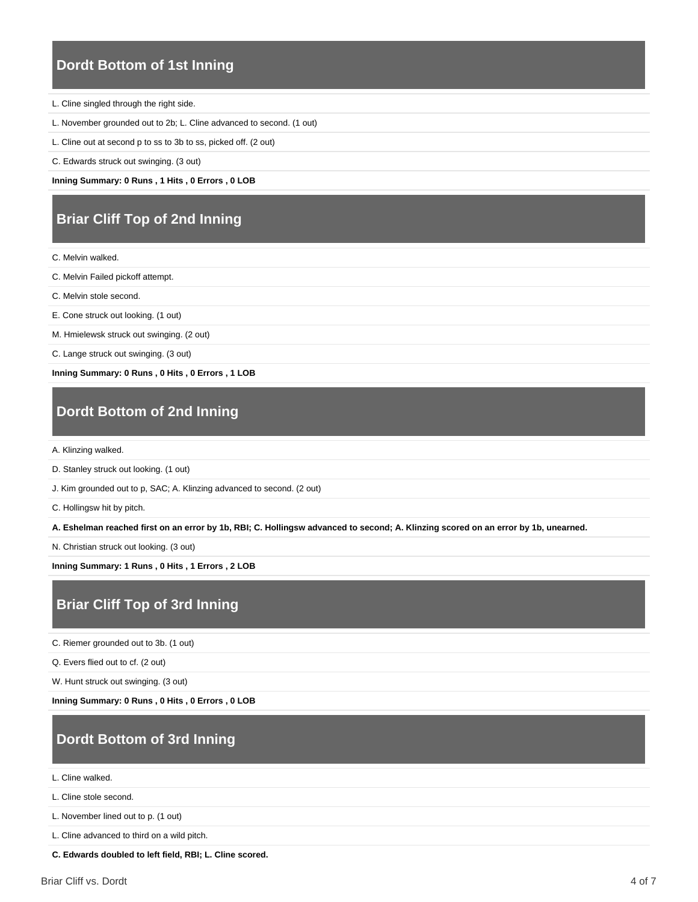### **Dordt Bottom of 1st Inning**

L. Cline singled through the right side.

L. November grounded out to 2b; L. Cline advanced to second. (1 out)

L. Cline out at second p to ss to 3b to ss, picked off. (2 out)

C. Edwards struck out swinging. (3 out)

**Inning Summary: 0 Runs , 1 Hits , 0 Errors , 0 LOB**

# **Briar Cliff Top of 2nd Inning**

C. Melvin walked.

C. Melvin Failed pickoff attempt.

C. Melvin stole second.

E. Cone struck out looking. (1 out)

M. Hmielewsk struck out swinging. (2 out)

C. Lange struck out swinging. (3 out)

**Inning Summary: 0 Runs , 0 Hits , 0 Errors , 1 LOB**

### **Dordt Bottom of 2nd Inning**

A. Klinzing walked.

D. Stanley struck out looking. (1 out)

J. Kim grounded out to p, SAC; A. Klinzing advanced to second. (2 out)

C. Hollingsw hit by pitch.

**A. Eshelman reached first on an error by 1b, RBI; C. Hollingsw advanced to second; A. Klinzing scored on an error by 1b, unearned.**

N. Christian struck out looking. (3 out)

**Inning Summary: 1 Runs , 0 Hits , 1 Errors , 2 LOB**

### **Briar Cliff Top of 3rd Inning**

C. Riemer grounded out to 3b. (1 out)

Q. Evers flied out to cf. (2 out)

W. Hunt struck out swinging. (3 out)

**Inning Summary: 0 Runs , 0 Hits , 0 Errors , 0 LOB**

### **Dordt Bottom of 3rd Inning**

L. Cline walked.

L. Cline stole second.

L. November lined out to p. (1 out)

L. Cline advanced to third on a wild pitch.

**C. Edwards doubled to left field, RBI; L. Cline scored.**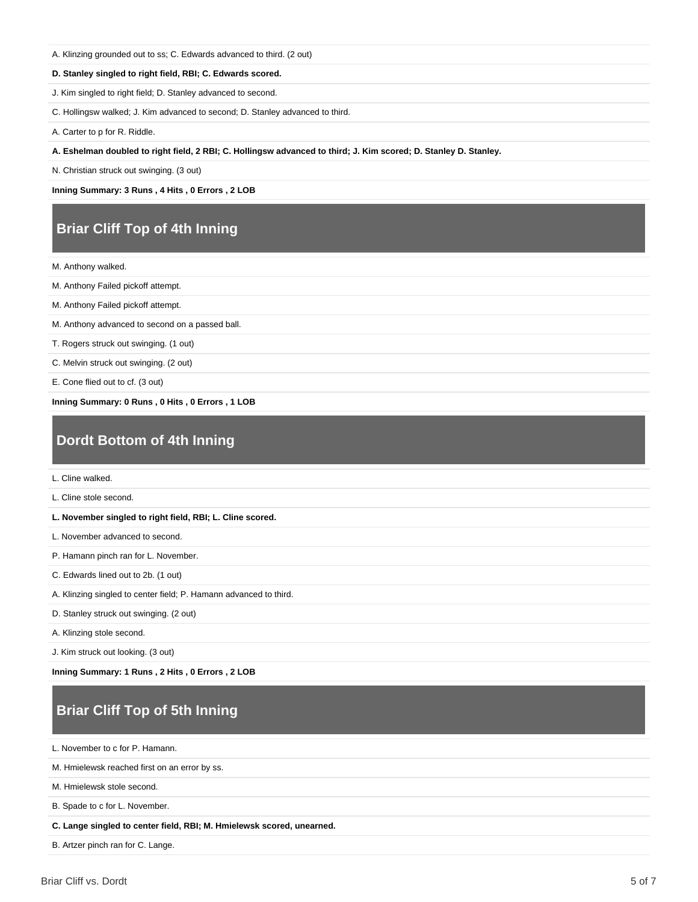A. Klinzing grounded out to ss; C. Edwards advanced to third. (2 out)

#### **D. Stanley singled to right field, RBI; C. Edwards scored.**

J. Kim singled to right field; D. Stanley advanced to second.

C. Hollingsw walked; J. Kim advanced to second; D. Stanley advanced to third.

A. Carter to p for R. Riddle.

**A. Eshelman doubled to right field, 2 RBI; C. Hollingsw advanced to third; J. Kim scored; D. Stanley D. Stanley.**

N. Christian struck out swinging. (3 out)

**Inning Summary: 3 Runs , 4 Hits , 0 Errors , 2 LOB**

### **Briar Cliff Top of 4th Inning**

M. Anthony walked.

M. Anthony Failed pickoff attempt.

M. Anthony Failed pickoff attempt.

M. Anthony advanced to second on a passed ball.

T. Rogers struck out swinging. (1 out)

C. Melvin struck out swinging. (2 out)

E. Cone flied out to cf. (3 out)

**Inning Summary: 0 Runs , 0 Hits , 0 Errors , 1 LOB**

### **Dordt Bottom of 4th Inning**

L. Cline walked.

L. Cline stole second.

**L. November singled to right field, RBI; L. Cline scored.**

L. November advanced to second.

P. Hamann pinch ran for L. November.

C. Edwards lined out to 2b. (1 out)

A. Klinzing singled to center field; P. Hamann advanced to third.

D. Stanley struck out swinging. (2 out)

A. Klinzing stole second.

J. Kim struck out looking. (3 out)

**Inning Summary: 1 Runs , 2 Hits , 0 Errors , 2 LOB**

# **Briar Cliff Top of 5th Inning**

L. November to c for P. Hamann.

M. Hmielewsk reached first on an error by ss.

M. Hmielewsk stole second.

B. Spade to c for L. November.

**C. Lange singled to center field, RBI; M. Hmielewsk scored, unearned.**

B. Artzer pinch ran for C. Lange.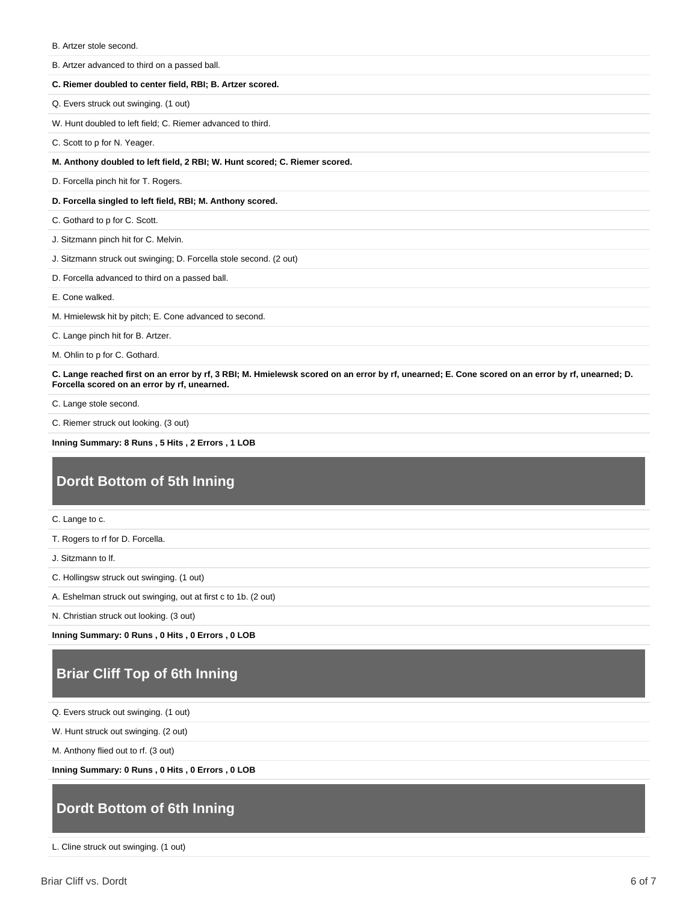| B. Artzer stole second.                                                    |
|----------------------------------------------------------------------------|
| B. Artzer advanced to third on a passed ball.                              |
| C. Riemer doubled to center field, RBI; B. Artzer scored.                  |
| Q. Evers struck out swinging. (1 out)                                      |
| W. Hunt doubled to left field; C. Riemer advanced to third.                |
| C. Scott to p for N. Yeager.                                               |
| M. Anthony doubled to left field, 2 RBI; W. Hunt scored; C. Riemer scored. |
| D. Forcella pinch hit for T. Rogers.                                       |
| D. Forcella singled to left field, RBI; M. Anthony scored.                 |
| C. Gothard to p for C. Scott.                                              |
| J. Sitzmann pinch hit for C. Melvin.                                       |
| J. Sitzmann struck out swinging; D. Forcella stole second. (2 out)         |
| D. Forcella advanced to third on a passed ball.                            |
| E. Cone walked.                                                            |
| M. Hmielewsk hit by pitch; E. Cone advanced to second.                     |
|                                                                            |
| C. Lange pinch hit for B. Artzer.                                          |

M. Ohlin to p for C. Gothard.

**C. Lange reached first on an error by rf, 3 RBI; M. Hmielewsk scored on an error by rf, unearned; E. Cone scored on an error by rf, unearned; D. Forcella scored on an error by rf, unearned.**

C. Lange stole second.

C. Riemer struck out looking. (3 out)

**Inning Summary: 8 Runs , 5 Hits , 2 Errors , 1 LOB**

# **Dordt Bottom of 5th Inning**

C. Lange to c.

T. Rogers to rf for D. Forcella.

J. Sitzmann to lf.

C. Hollingsw struck out swinging. (1 out)

A. Eshelman struck out swinging, out at first c to 1b. (2 out)

N. Christian struck out looking. (3 out)

**Inning Summary: 0 Runs , 0 Hits , 0 Errors , 0 LOB**

# **Briar Cliff Top of 6th Inning**

Q. Evers struck out swinging. (1 out)

W. Hunt struck out swinging. (2 out)

M. Anthony flied out to rf. (3 out)

**Inning Summary: 0 Runs , 0 Hits , 0 Errors , 0 LOB**

### **Dordt Bottom of 6th Inning**

L. Cline struck out swinging. (1 out)